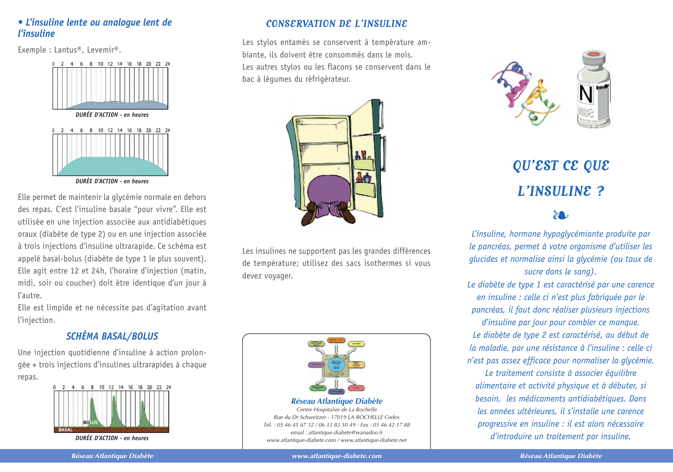### • L'insuline lente ou analoque lent de *l'insuline*

Exemple : Lantus®, Levemir®.



DURFF D'ACTION - en heures

Elle permet de maintenir la glycémie normale en dehors des repas. C'est l'insuline basale "pour vivre". Elle est utilisée en une iniection associée aux antidiabétiques oraux (diabète de type 2) ou en une injection associée à trois injections d'insuline ultrarapide. Ce schéma est appelé basal-bolus (diabète de type 1 le plus souvent). Elle agit entre 12 et 24h, l'horaire d'injection (matin, midi, soir ou coucher) doit être identique d'un jour à l'autre

Elle est limpide et ne nécessite pas d'agitation avant l'injection.

## **SCHÉMA BASAL/BOLUS**

Une injection quotidienne d'insuline à action prolongée + trois injections d'insulines ultrarapides à chaque repas.



DURÉE D'ACTION - en heures

### CONSERVATION DE L'INSULINE

Les stylos entamés se conservent à température amhiante, ils doivent être consommés dans le mois. Les autres stylos ou les flacons se conservent dans le bac à léqumes du réfrigérateur.



Les insulines ne supportent pas les grandes différences de température: utilisez des sacs isothermes si vous devez vovager.





# QU'EST CE QUE L'INSULINE?

L'insuline, hormone hypoglycémiante produite par le pancréas, permet à votre organisme d'utiliser les glucides et normalise ainsi la glycémie (ou taux de sucre dans le sang).

Le diabète de type 1 est caractérisé par une carence en insuline : celle ci n'est plus fabriquée par le pancréas, il faut donc réaliser plusieurs injections d'insuline par jour pour combler ce manque. Le diabète de type 2 est caractérisé, au début de la maladie, par une résistance à l'insuline : celle ci n'est pas assez efficace pour normaliser la glycémie.

Le traitement consiste à associer équilibre alimentaire et activité physique et à débuter, si besoin, les médicaments antidiabétiques. Dans les années ultérieures, il s'installe une carence progressive en insuline : il est alors nécessaire d'introduire un traitement par insuline.

**Réseau Atlantique Diabète** 

www.atlantique-diabete.com